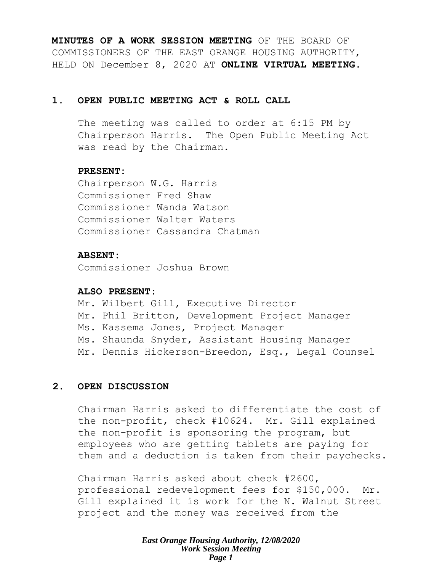**MINUTES OF A WORK SESSION MEETING** OF THE BOARD OF COMMISSIONERS OF THE EAST ORANGE HOUSING AUTHORITY, HELD ON December 8, 2020 AT **ONLINE VIRTUAL MEETING**.

## **1. OPEN PUBLIC MEETING ACT & ROLL CALL**

The meeting was called to order at 6:15 PM by Chairperson Harris. The Open Public Meeting Act was read by the Chairman.

## **PRESENT:**

Chairperson W.G. Harris Commissioner Fred Shaw Commissioner Wanda Watson Commissioner Walter Waters Commissioner Cassandra Chatman

## **ABSENT:**

Commissioner Joshua Brown

## **ALSO PRESENT:**

Mr. Wilbert Gill, Executive Director Mr. Phil Britton, Development Project Manager Ms. Kassema Jones, Project Manager Ms. Shaunda Snyder, Assistant Housing Manager Mr. Dennis Hickerson-Breedon, Esq., Legal Counsel

# **2. OPEN DISCUSSION**

Chairman Harris asked to differentiate the cost of the non-profit, check #10624. Mr. Gill explained the non-profit is sponsoring the program, but employees who are getting tablets are paying for them and a deduction is taken from their paychecks.

Chairman Harris asked about check #2600, professional redevelopment fees for \$150,000. Mr. Gill explained it is work for the N. Walnut Street project and the money was received from the

> *East Orange Housing Authority, 12/08/2020 Work Session Meeting Page 1*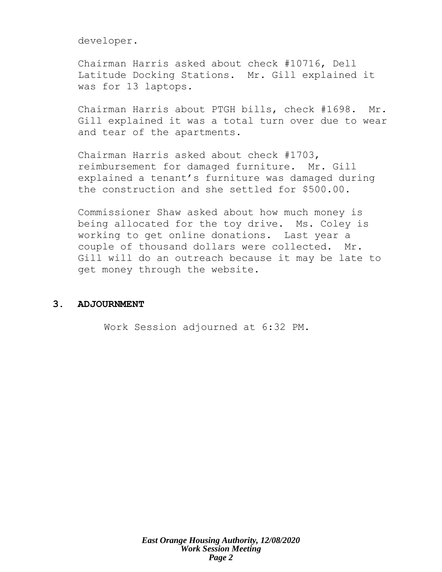developer.

Chairman Harris asked about check #10716, Dell Latitude Docking Stations. Mr. Gill explained it was for 13 laptops.

Chairman Harris about PTGH bills, check #1698. Mr. Gill explained it was a total turn over due to wear and tear of the apartments.

Chairman Harris asked about check #1703, reimbursement for damaged furniture. Mr. Gill explained a tenant's furniture was damaged during the construction and she settled for \$500.00.

Commissioner Shaw asked about how much money is being allocated for the toy drive. Ms. Coley is working to get online donations. Last year a couple of thousand dollars were collected. Mr. Gill will do an outreach because it may be late to get money through the website.

## **3. ADJOURNMENT**

Work Session adjourned at 6:32 PM.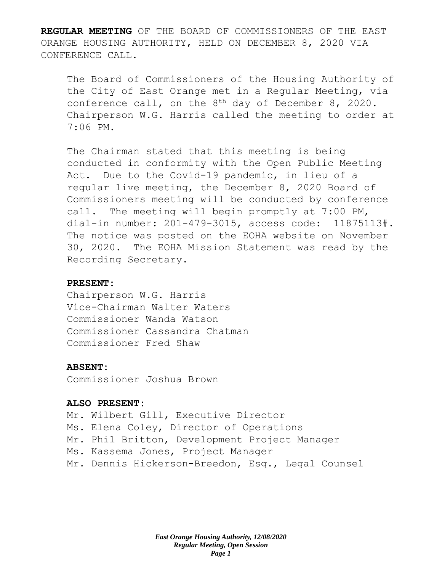**REGULAR MEETING** OF THE BOARD OF COMMISSIONERS OF THE EAST ORANGE HOUSING AUTHORITY, HELD ON DECEMBER 8, 2020 VIA CONFERENCE CALL.

The Board of Commissioners of the Housing Authority of the City of East Orange met in a Regular Meeting, via conference call, on the 8th day of December 8, 2020. Chairperson W.G. Harris called the meeting to order at 7:06 PM.

The Chairman stated that this meeting is being conducted in conformity with the Open Public Meeting Act. Due to the Covid-19 pandemic, in lieu of a regular live meeting, the December 8, 2020 Board of Commissioners meeting will be conducted by conference call. The meeting will begin promptly at 7:00 PM, dial-in number: 201-479-3015, access code: 11875113#. The notice was posted on the EOHA website on November 30, 2020. The EOHA Mission Statement was read by the Recording Secretary.

## **PRESENT:**

Chairperson W.G. Harris Vice-Chairman Walter Waters Commissioner Wanda Watson Commissioner Cassandra Chatman Commissioner Fred Shaw

## **ABSENT:**

Commissioner Joshua Brown

### **ALSO PRESENT:**

Mr. Wilbert Gill, Executive Director Ms. Elena Coley, Director of Operations Mr. Phil Britton, Development Project Manager Ms. Kassema Jones, Project Manager Mr. Dennis Hickerson-Breedon, Esq., Legal Counsel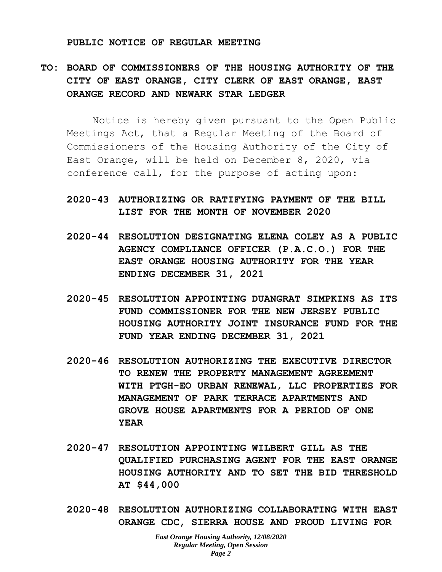#### **PUBLIC NOTICE OF REGULAR MEETING**

# **TO: BOARD OF COMMISSIONERS OF THE HOUSING AUTHORITY OF THE CITY OF EAST ORANGE, CITY CLERK OF EAST ORANGE, EAST ORANGE RECORD AND NEWARK STAR LEDGER**

Notice is hereby given pursuant to the Open Public Meetings Act, that a Regular Meeting of the Board of Commissioners of the Housing Authority of the City of East Orange, will be held on December 8, 2020, via conference call, for the purpose of acting upon:

# **2020-43 AUTHORIZING OR RATIFYING PAYMENT OF THE BILL LIST FOR THE MONTH OF NOVEMBER 2020**

- **2020-44 RESOLUTION DESIGNATING ELENA COLEY AS A PUBLIC AGENCY COMPLIANCE OFFICER (P.A.C.O.) FOR THE EAST ORANGE HOUSING AUTHORITY FOR THE YEAR ENDING DECEMBER 31, 2021**
- **2020-45 RESOLUTION APPOINTING DUANGRAT SIMPKINS AS ITS FUND COMMISSIONER FOR THE NEW JERSEY PUBLIC HOUSING AUTHORITY JOINT INSURANCE FUND FOR THE FUND YEAR ENDING DECEMBER 31, 2021**
- **2020-46 RESOLUTION AUTHORIZING THE EXECUTIVE DIRECTOR TO RENEW THE PROPERTY MANAGEMENT AGREEMENT WITH PTGH-EO URBAN RENEWAL, LLC PROPERTIES FOR MANAGEMENT OF PARK TERRACE APARTMENTS AND GROVE HOUSE APARTMENTS FOR A PERIOD OF ONE YEAR**
- **2020-47 RESOLUTION APPOINTING WILBERT GILL AS THE QUALIFIED PURCHASING AGENT FOR THE EAST ORANGE HOUSING AUTHORITY AND TO SET THE BID THRESHOLD AT \$44,000**
- **2020-48 RESOLUTION AUTHORIZING COLLABORATING WITH EAST ORANGE CDC, SIERRA HOUSE AND PROUD LIVING FOR**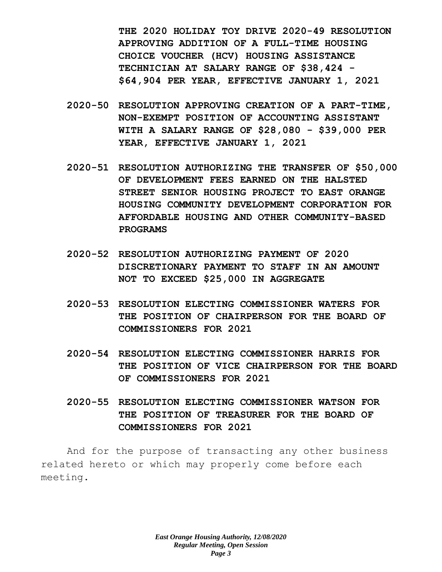**THE 2020 HOLIDAY TOY DRIVE 2020-49 RESOLUTION APPROVING ADDITION OF A FULL-TIME HOUSING CHOICE VOUCHER (HCV) HOUSING ASSISTANCE TECHNICIAN AT SALARY RANGE OF \$38,424 - \$64,904 PER YEAR, EFFECTIVE JANUARY 1, 2021** 

- **2020-50 RESOLUTION APPROVING CREATION OF A PART-TIME, NON-EXEMPT POSITION OF ACCOUNTING ASSISTANT WITH A SALARY RANGE OF \$28,080 - \$39,000 PER YEAR, EFFECTIVE JANUARY 1, 2021**
- **2020-51 RESOLUTION AUTHORIZING THE TRANSFER OF \$50,000 OF DEVELOPMENT FEES EARNED ON THE HALSTED STREET SENIOR HOUSING PROJECT TO EAST ORANGE HOUSING COMMUNITY DEVELOPMENT CORPORATION FOR AFFORDABLE HOUSING AND OTHER COMMUNITY-BASED PROGRAMS**
- **2020-52 RESOLUTION AUTHORIZING PAYMENT OF 2020 DISCRETIONARY PAYMENT TO STAFF IN AN AMOUNT NOT TO EXCEED \$25,000 IN AGGREGATE**
- **2020-53 RESOLUTION ELECTING COMMISSIONER WATERS FOR THE POSITION OF CHAIRPERSON FOR THE BOARD OF COMMISSIONERS FOR 2021**
- **2020-54 RESOLUTION ELECTING COMMISSIONER HARRIS FOR THE POSITION OF VICE CHAIRPERSON FOR THE BOARD OF COMMISSIONERS FOR 2021**
- **2020-55 RESOLUTION ELECTING COMMISSIONER WATSON FOR THE POSITION OF TREASURER FOR THE BOARD OF COMMISSIONERS FOR 2021**

And for the purpose of transacting any other business related hereto or which may properly come before each meeting.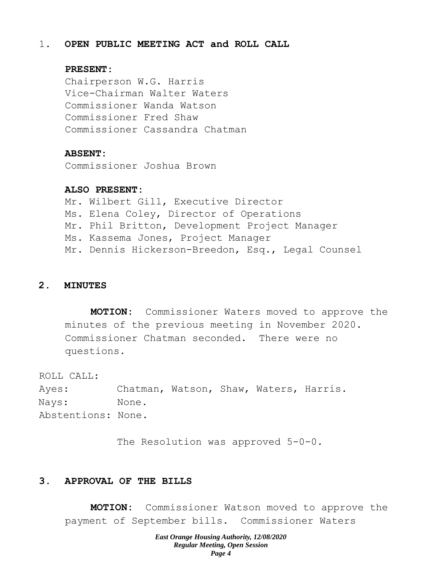### 1. **OPEN PUBLIC MEETING ACT and ROLL CALL**

### **PRESENT:**

Chairperson W.G. Harris Vice-Chairman Walter Waters Commissioner Wanda Watson Commissioner Fred Shaw Commissioner Cassandra Chatman

#### **ABSENT:**

Commissioner Joshua Brown

#### **ALSO PRESENT:**

Mr. Wilbert Gill, Executive Director Ms. Elena Coley, Director of Operations Mr. Phil Britton, Development Project Manager Ms. Kassema Jones, Project Manager Mr. Dennis Hickerson-Breedon, Esq., Legal Counsel

### **2. MINUTES**

**MOTION:** Commissioner Waters moved to approve the minutes of the previous meeting in November 2020. Commissioner Chatman seconded. There were no questions.

ROLL CALL:

Ayes: Chatman, Watson, Shaw, Waters, Harris. Nays: None. Abstentions: None.

The Resolution was approved 5-0-0.

## **3. APPROVAL OF THE BILLS**

**MOTION:** Commissioner Watson moved to approve the payment of September bills. Commissioner Waters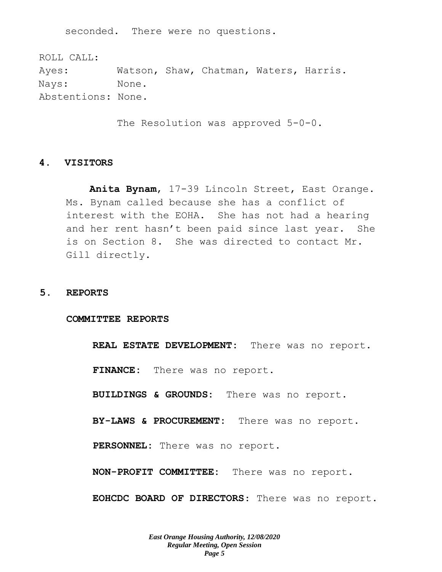seconded. There were no questions.

ROLL CALL: Ayes: Watson, Shaw, Chatman, Waters, Harris. Nays: None. Abstentions: None.

The Resolution was approved 5-0-0.

### **4. VISITORS**

**Anita Bynam**, 17-39 Lincoln Street, East Orange. Ms. Bynam called because she has a conflict of interest with the EOHA. She has not had a hearing and her rent hasn't been paid since last year. She is on Section 8. She was directed to contact Mr. Gill directly.

#### **5. REPORTS**

#### **COMMITTEE REPORTS**

**REAL ESTATE DEVELOPMENT:** There was no report.

**FINANCE:** There was no report.

**BUILDINGS & GROUNDS:** There was no report.

**BY-LAWS & PROCUREMENT:** There was no report.

**PERSONNEL:** There was no report.

**NON-PROFIT COMMITTEE:** There was no report.

**EOHCDC BOARD OF DIRECTORS**: There was no report.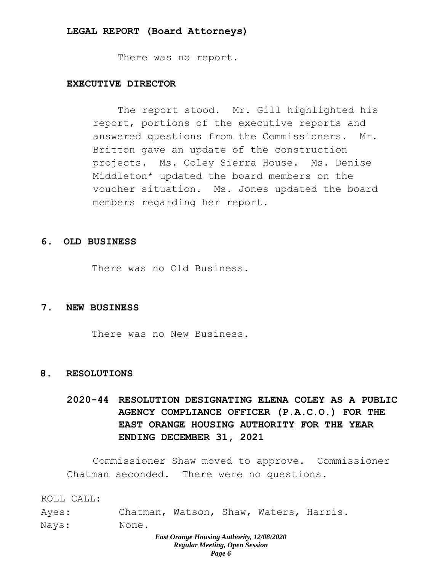#### **LEGAL REPORT (Board Attorneys)**

There was no report.

## **EXECUTIVE DIRECTOR**

The report stood. Mr. Gill highlighted his report, portions of the executive reports and answered questions from the Commissioners. Mr. Britton gave an update of the construction projects. Ms. Coley Sierra House. Ms. Denise Middleton\* updated the board members on the voucher situation. Ms. Jones updated the board members regarding her report.

#### **6. OLD BUSINESS**

There was no Old Business.

#### **7. NEW BUSINESS**

There was no New Business.

### **8. RESOLUTIONS**

**2020-44 RESOLUTION DESIGNATING ELENA COLEY AS A PUBLIC AGENCY COMPLIANCE OFFICER (P.A.C.O.) FOR THE EAST ORANGE HOUSING AUTHORITY FOR THE YEAR ENDING DECEMBER 31, 2021** 

Commissioner Shaw moved to approve. Commissioner Chatman seconded. There were no questions.

ROLL CALL:

| Ayes: | Chatman, Watson, Shaw, Waters, Harris. |  |  |
|-------|----------------------------------------|--|--|
|       |                                        |  |  |

Nays: None.

#### *East Orange Housing Authority, 12/08/2020 Regular Meeting, Open Session Page 6*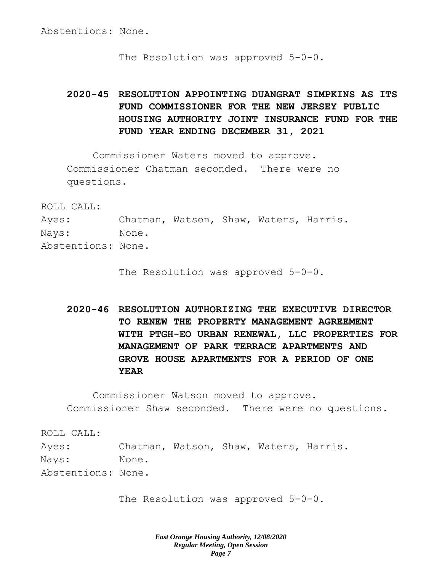Abstentions: None.

The Resolution was approved 5-0-0.

# **2020-45 RESOLUTION APPOINTING DUANGRAT SIMPKINS AS ITS FUND COMMISSIONER FOR THE NEW JERSEY PUBLIC HOUSING AUTHORITY JOINT INSURANCE FUND FOR THE FUND YEAR ENDING DECEMBER 31, 2021**

Commissioner Waters moved to approve. Commissioner Chatman seconded. There were no questions.

ROLL CALL:

Ayes: Chatman, Watson, Shaw, Waters, Harris. Nays: None. Abstentions: None.

The Resolution was approved 5-0-0.

**2020-46 RESOLUTION AUTHORIZING THE EXECUTIVE DIRECTOR TO RENEW THE PROPERTY MANAGEMENT AGREEMENT WITH PTGH-EO URBAN RENEWAL, LLC PROPERTIES FOR MANAGEMENT OF PARK TERRACE APARTMENTS AND GROVE HOUSE APARTMENTS FOR A PERIOD OF ONE YEAR**

Commissioner Watson moved to approve. Commissioner Shaw seconded. There were no questions.

ROLL CALL: Ayes: Chatman, Watson, Shaw, Waters, Harris. Nays: None. Abstentions: None.

The Resolution was approved 5-0-0.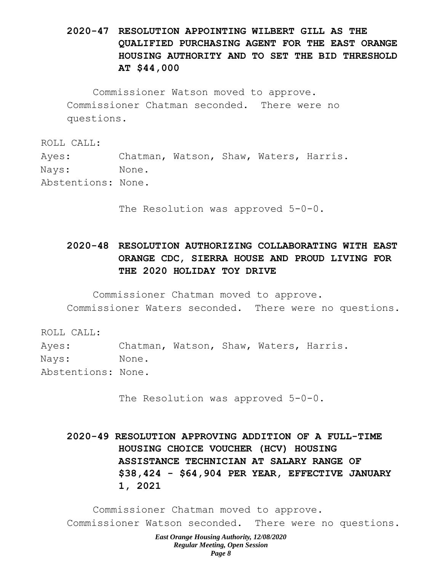# **2020-47 RESOLUTION APPOINTING WILBERT GILL AS THE QUALIFIED PURCHASING AGENT FOR THE EAST ORANGE HOUSING AUTHORITY AND TO SET THE BID THRESHOLD AT \$44,000**

Commissioner Watson moved to approve. Commissioner Chatman seconded. There were no questions.

ROLL CALL:

Ayes: Chatman, Watson, Shaw, Waters, Harris.

Nays: None.

Abstentions: None.

The Resolution was approved 5-0-0.

# **2020-48 RESOLUTION AUTHORIZING COLLABORATING WITH EAST ORANGE CDC, SIERRA HOUSE AND PROUD LIVING FOR THE 2020 HOLIDAY TOY DRIVE**

Commissioner Chatman moved to approve.

Commissioner Waters seconded. There were no questions.

ROLL CALL:

Ayes: Chatman, Watson, Shaw, Waters, Harris.

Nays: None.

Abstentions: None.

The Resolution was approved 5-0-0.

**2020-49 RESOLUTION APPROVING ADDITION OF A FULL-TIME HOUSING CHOICE VOUCHER (HCV) HOUSING ASSISTANCE TECHNICIAN AT SALARY RANGE OF \$38,424 - \$64,904 PER YEAR, EFFECTIVE JANUARY 1, 2021** 

Commissioner Chatman moved to approve. Commissioner Watson seconded. There were no questions.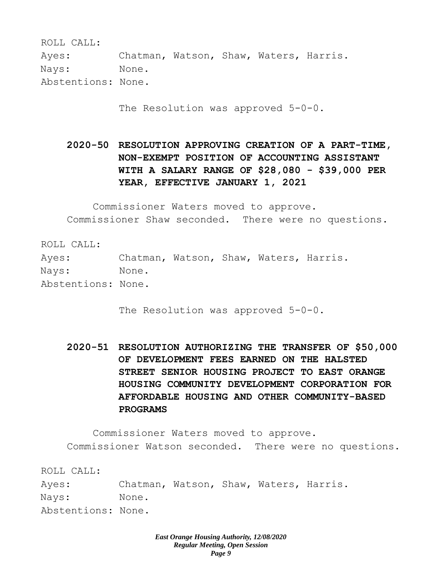ROLL CALL:

Ayes: Chatman, Watson, Shaw, Waters, Harris. Nays: None.

Abstentions: None.

The Resolution was approved  $5-0-0$ .

**2020-50 RESOLUTION APPROVING CREATION OF A PART-TIME, NON-EXEMPT POSITION OF ACCOUNTING ASSISTANT WITH A SALARY RANGE OF \$28,080 - \$39,000 PER YEAR, EFFECTIVE JANUARY 1, 2021** 

Commissioner Waters moved to approve. Commissioner Shaw seconded. There were no questions.

ROLL CALL: Ayes: Chatman, Watson, Shaw, Waters, Harris. Nays: None. Abstentions: None.

The Resolution was approved 5-0-0.

**2020-51 RESOLUTION AUTHORIZING THE TRANSFER OF \$50,000 OF DEVELOPMENT FEES EARNED ON THE HALSTED STREET SENIOR HOUSING PROJECT TO EAST ORANGE HOUSING COMMUNITY DEVELOPMENT CORPORATION FOR AFFORDABLE HOUSING AND OTHER COMMUNITY-BASED PROGRAMS** 

Commissioner Waters moved to approve. Commissioner Watson seconded. There were no questions.

ROLL CALL:

Ayes: Chatman, Watson, Shaw, Waters, Harris. Nays: None. Abstentions: None.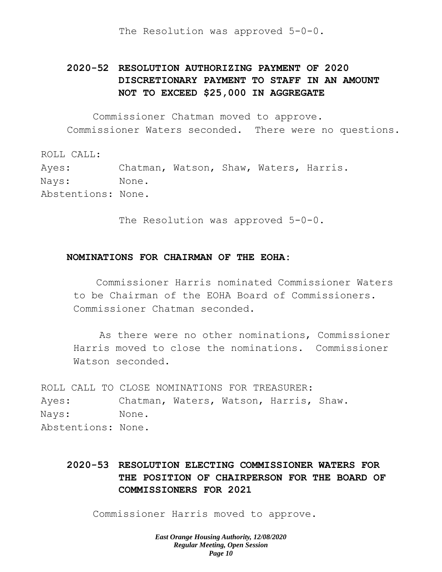The Resolution was approved 5-0-0.

# **2020-52 RESOLUTION AUTHORIZING PAYMENT OF 2020 DISCRETIONARY PAYMENT TO STAFF IN AN AMOUNT NOT TO EXCEED \$25,000 IN AGGREGATE**

Commissioner Chatman moved to approve. Commissioner Waters seconded. There were no questions.

ROLL CALL: Ayes: Chatman, Watson, Shaw, Waters, Harris. Nays: None. Abstentions: None.

The Resolution was approved 5-0-0.

### **NOMINATIONS FOR CHAIRMAN OF THE EOHA:**

Commissioner Harris nominated Commissioner Waters to be Chairman of the EOHA Board of Commissioners. Commissioner Chatman seconded.

As there were no other nominations, Commissioner Harris moved to close the nominations. Commissioner Watson seconded.

ROLL CALL TO CLOSE NOMINATIONS FOR TREASURER: Ayes: Chatman, Waters, Watson, Harris, Shaw. Nays: None. Abstentions: None.

# **2020-53 RESOLUTION ELECTING COMMISSIONER WATERS FOR THE POSITION OF CHAIRPERSON FOR THE BOARD OF COMMISSIONERS FOR 2021**

Commissioner Harris moved to approve.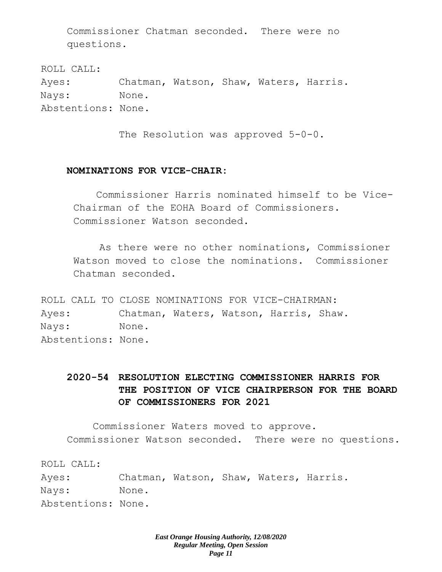Commissioner Chatman seconded. There were no questions.

ROLL CALL: Ayes: Chatman, Watson, Shaw, Waters, Harris. Nays: None. Abstentions: None.

The Resolution was approved 5-0-0.

# **NOMINATIONS FOR VICE-CHAIR:**

Commissioner Harris nominated himself to be Vice-Chairman of the EOHA Board of Commissioners. Commissioner Watson seconded.

As there were no other nominations, Commissioner Watson moved to close the nominations. Commissioner Chatman seconded.

ROLL CALL TO CLOSE NOMINATIONS FOR VICE-CHAIRMAN: Ayes: Chatman, Waters, Watson, Harris, Shaw. Nays: None. Abstentions: None.

# **2020-54 RESOLUTION ELECTING COMMISSIONER HARRIS FOR THE POSITION OF VICE CHAIRPERSON FOR THE BOARD OF COMMISSIONERS FOR 2021**

Commissioner Waters moved to approve. Commissioner Watson seconded. There were no questions.

ROLL CALL:

Ayes: Chatman, Watson, Shaw, Waters, Harris. Nays: None. Abstentions: None.